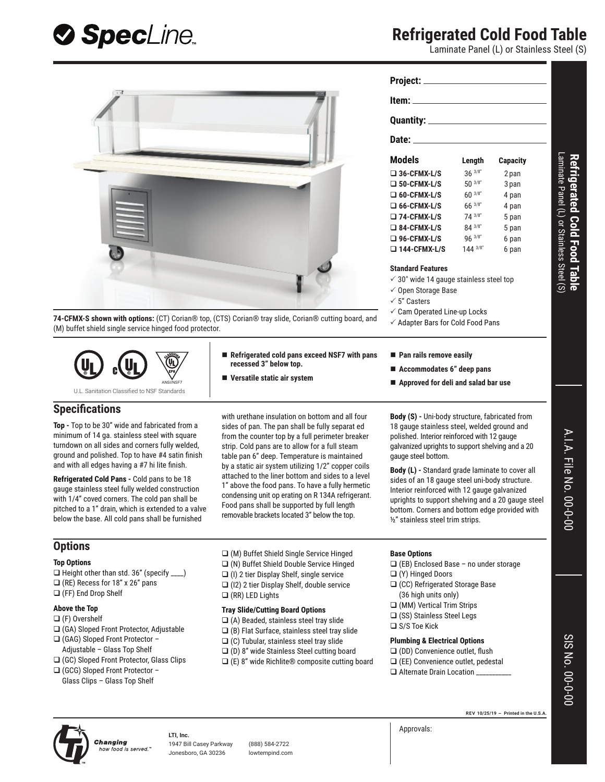

## **Refrigerated Cold Food Table**

Laminate Panel (L) or Stainless Steel (S)





Changing

**LTI, Inc.** how food is served.

1947 Bill Casey Parkway (888) 584-2722 Jonesboro, GA 30236 lowtempind.com

Approvals: